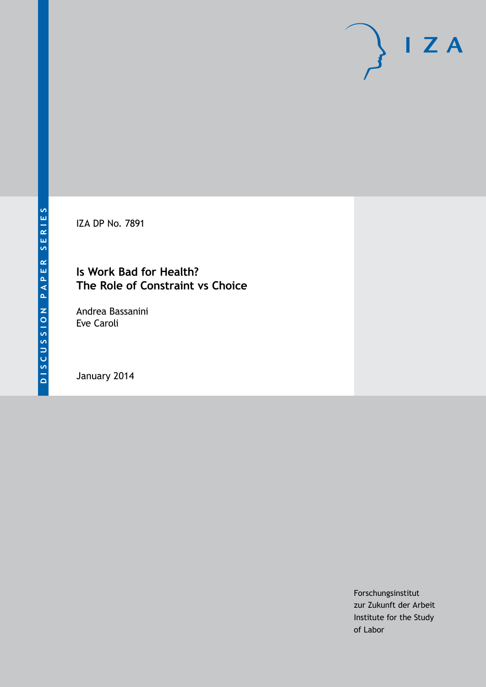IZA DP No. 7891

# **Is Work Bad for Health? The Role of Constraint vs Choice**

Andrea Bassanini Eve Caroli

January 2014

Forschungsinstitut zur Zukunft der Arbeit Institute for the Study of Labor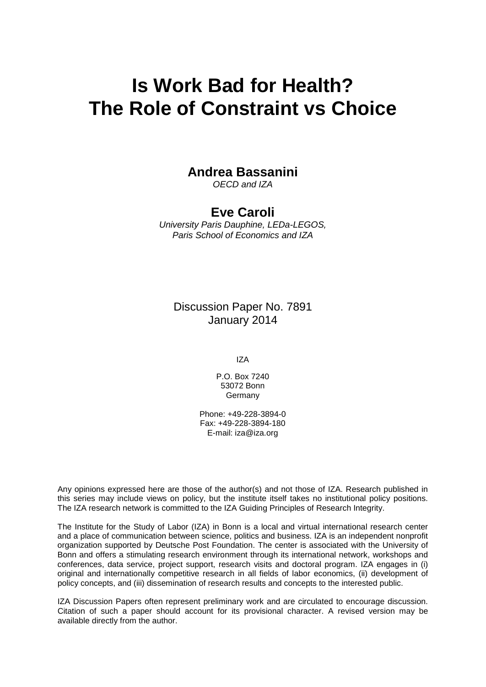# **Is Work Bad for Health? The Role of Constraint vs Choice**

## **Andrea Bassanini**

*OECD and IZA*

## **Eve Caroli**

*University Paris Dauphine, LEDa-LEGOS, Paris School of Economics and IZA*

Discussion Paper No. 7891 January 2014

IZA

P.O. Box 7240 53072 Bonn Germany

Phone: +49-228-3894-0 Fax: +49-228-3894-180 E-mail: [iza@iza.org](mailto:iza@iza.org)

Any opinions expressed here are those of the author(s) and not those of IZA. Research published in this series may include views on policy, but the institute itself takes no institutional policy positions. The IZA research network is committed to the IZA Guiding Principles of Research Integrity.

The Institute for the Study of Labor (IZA) in Bonn is a local and virtual international research center and a place of communication between science, politics and business. IZA is an independent nonprofit organization supported by Deutsche Post Foundation. The center is associated with the University of Bonn and offers a stimulating research environment through its international network, workshops and conferences, data service, project support, research visits and doctoral program. IZA engages in (i) original and internationally competitive research in all fields of labor economics, (ii) development of policy concepts, and (iii) dissemination of research results and concepts to the interested public.

<span id="page-1-0"></span>IZA Discussion Papers often represent preliminary work and are circulated to encourage discussion. Citation of such a paper should account for its provisional character. A revised version may be available directly from the author.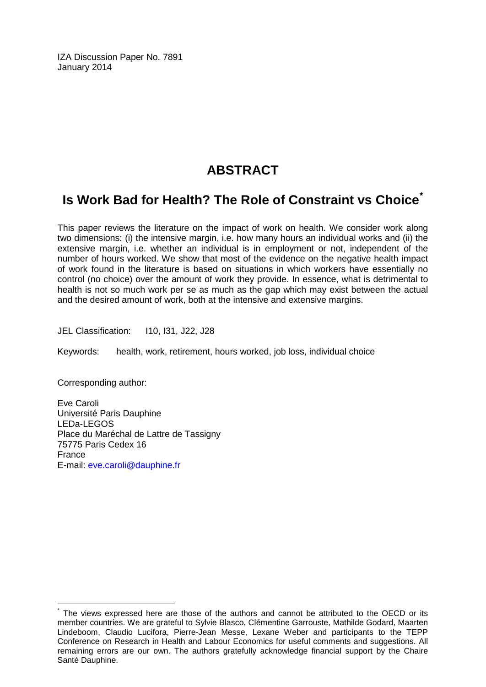IZA Discussion Paper No. 7891 January 2014

# **ABSTRACT**

# **Is Work Bad for Health? The Role of Constraint vs Choice[\\*](#page-1-0)**

This paper reviews the literature on the impact of work on health. We consider work along two dimensions: (i) the intensive margin, i.e. how many hours an individual works and (ii) the extensive margin, i.e. whether an individual is in employment or not, independent of the number of hours worked. We show that most of the evidence on the negative health impact of work found in the literature is based on situations in which workers have essentially no control (no choice) over the amount of work they provide. In essence, what is detrimental to health is not so much work per se as much as the gap which may exist between the actual and the desired amount of work, both at the intensive and extensive margins.

JEL Classification: I10, I31, J22, J28

Keywords: health, work, retirement, hours worked, job loss, individual choice

Corresponding author:

Eve Caroli Université Paris Dauphine LEDa-LEGOS Place du Maréchal de Lattre de Tassigny 75775 Paris Cedex 16 France E-mail: [eve.caroli@dauphine.fr](mailto:eve.caroli@dauphine.fr)

The views expressed here are those of the authors and cannot be attributed to the OECD or its member countries. We are grateful to Sylvie Blasco, Clémentine Garrouste, Mathilde Godard, Maarten Lindeboom, Claudio Lucifora, Pierre-Jean Messe, Lexane Weber and participants to the TEPP Conference on Research in Health and Labour Economics for useful comments and suggestions. All remaining errors are our own. The authors gratefully acknowledge financial support by the Chaire Santé Dauphine.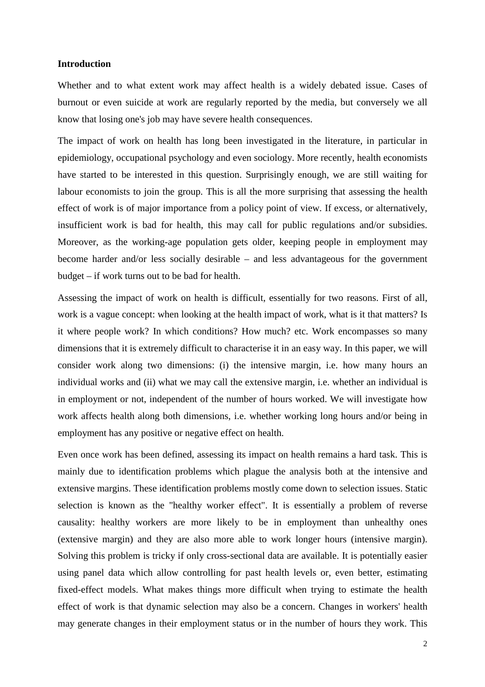#### **Introduction**

Whether and to what extent work may affect health is a widely debated issue. Cases of burnout or even suicide at work are regularly reported by the media, but conversely we all know that losing one's job may have severe health consequences.

The impact of work on health has long been investigated in the literature, in particular in epidemiology, occupational psychology and even sociology. More recently, health economists have started to be interested in this question. Surprisingly enough, we are still waiting for labour economists to join the group. This is all the more surprising that assessing the health effect of work is of major importance from a policy point of view. If excess, or alternatively, insufficient work is bad for health, this may call for public regulations and/or subsidies. Moreover, as the working-age population gets older, keeping people in employment may become harder and/or less socially desirable – and less advantageous for the government budget – if work turns out to be bad for health.

Assessing the impact of work on health is difficult, essentially for two reasons. First of all, work is a vague concept: when looking at the health impact of work, what is it that matters? Is it where people work? In which conditions? How much? etc. Work encompasses so many dimensions that it is extremely difficult to characterise it in an easy way. In this paper, we will consider work along two dimensions: (i) the intensive margin, i.e. how many hours an individual works and (ii) what we may call the extensive margin, i.e. whether an individual is in employment or not, independent of the number of hours worked. We will investigate how work affects health along both dimensions, i.e. whether working long hours and/or being in employment has any positive or negative effect on health.

Even once work has been defined, assessing its impact on health remains a hard task. This is mainly due to identification problems which plague the analysis both at the intensive and extensive margins. These identification problems mostly come down to selection issues. Static selection is known as the "healthy worker effect". It is essentially a problem of reverse causality: healthy workers are more likely to be in employment than unhealthy ones (extensive margin) and they are also more able to work longer hours (intensive margin). Solving this problem is tricky if only cross-sectional data are available. It is potentially easier using panel data which allow controlling for past health levels or, even better, estimating fixed-effect models. What makes things more difficult when trying to estimate the health effect of work is that dynamic selection may also be a concern. Changes in workers' health may generate changes in their employment status or in the number of hours they work. This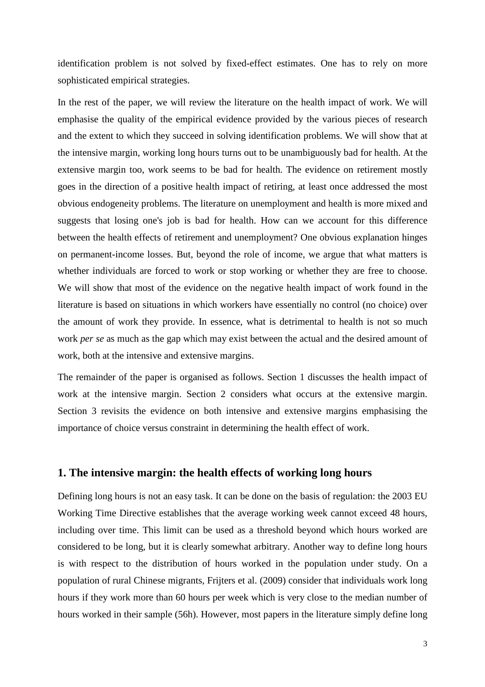identification problem is not solved by fixed-effect estimates. One has to rely on more sophisticated empirical strategies.

In the rest of the paper, we will review the literature on the health impact of work. We will emphasise the quality of the empirical evidence provided by the various pieces of research and the extent to which they succeed in solving identification problems. We will show that at the intensive margin, working long hours turns out to be unambiguously bad for health. At the extensive margin too, work seems to be bad for health. The evidence on retirement mostly goes in the direction of a positive health impact of retiring, at least once addressed the most obvious endogeneity problems. The literature on unemployment and health is more mixed and suggests that losing one's job is bad for health. How can we account for this difference between the health effects of retirement and unemployment? One obvious explanation hinges on permanent-income losses. But, beyond the role of income, we argue that what matters is whether individuals are forced to work or stop working or whether they are free to choose. We will show that most of the evidence on the negative health impact of work found in the literature is based on situations in which workers have essentially no control (no choice) over the amount of work they provide. In essence, what is detrimental to health is not so much work *per se* as much as the gap which may exist between the actual and the desired amount of work, both at the intensive and extensive margins.

The remainder of the paper is organised as follows. Section 1 discusses the health impact of work at the intensive margin. Section 2 considers what occurs at the extensive margin. Section 3 revisits the evidence on both intensive and extensive margins emphasising the importance of choice versus constraint in determining the health effect of work.

## **1. The intensive margin: the health effects of working long hours**

Defining long hours is not an easy task. It can be done on the basis of regulation: the 2003 EU Working Time Directive establishes that the average working week cannot exceed 48 hours, including over time. This limit can be used as a threshold beyond which hours worked are considered to be long, but it is clearly somewhat arbitrary. Another way to define long hours is with respect to the distribution of hours worked in the population under study. On a population of rural Chinese migrants, Frijters et al. (2009) consider that individuals work long hours if they work more than 60 hours per week which is very close to the median number of hours worked in their sample (56h). However, most papers in the literature simply define long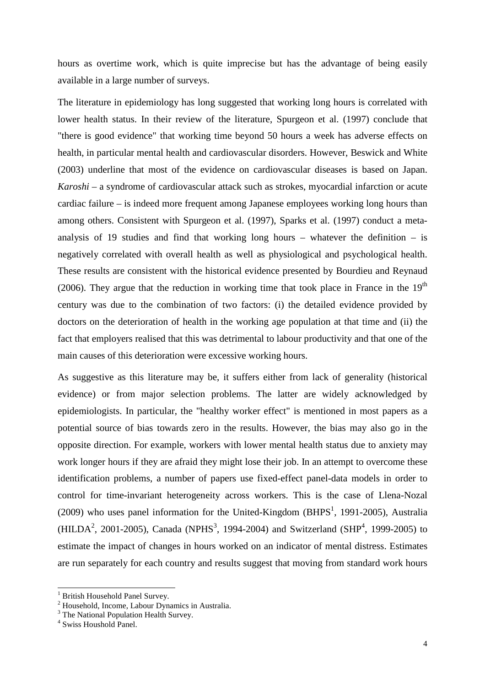hours as overtime work, which is quite imprecise but has the advantage of being easily available in a large number of surveys.

The literature in epidemiology has long suggested that working long hours is correlated with lower health status. In their review of the literature, Spurgeon et al. (1997) conclude that "there is good evidence" that working time beyond 50 hours a week has adverse effects on health, in particular mental health and cardiovascular disorders. However, Beswick and White (2003) underline that most of the evidence on cardiovascular diseases is based on Japan. *Karoshi* – a syndrome of cardiovascular attack such as strokes, myocardial infarction or acute cardiac failure – is indeed more frequent among Japanese employees working long hours than among others. Consistent with Spurgeon et al. (1997), Sparks et al. (1997) conduct a metaanalysis of 19 studies and find that working long hours – whatever the definition – is negatively correlated with overall health as well as physiological and psychological health. These results are consistent with the historical evidence presented by Bourdieu and Reynaud (2006). They argue that the reduction in working time that took place in France in the  $19<sup>th</sup>$ century was due to the combination of two factors: (i) the detailed evidence provided by doctors on the deterioration of health in the working age population at that time and (ii) the fact that employers realised that this was detrimental to labour productivity and that one of the main causes of this deterioration were excessive working hours.

As suggestive as this literature may be, it suffers either from lack of generality (historical evidence) or from major selection problems. The latter are widely acknowledged by epidemiologists. In particular, the "healthy worker effect" is mentioned in most papers as a potential source of bias towards zero in the results. However, the bias may also go in the opposite direction. For example, workers with lower mental health status due to anxiety may work longer hours if they are afraid they might lose their job. In an attempt to overcome these identification problems, a number of papers use fixed-effect panel-data models in order to control for time-invariant heterogeneity across workers. This is the case of Llena-Nozal  $(2009)$  who uses panel information for the United-Kingdom  $(BHPS<sup>1</sup>, 1991-2005)$ , Australia (HILDA<sup>2</sup>, 2001-2005), Canada (NPHS<sup>3</sup>, 1994-2004) and Switzerland (SHP<sup>4</sup>, 1999-2005) to estimate the impact of changes in hours worked on an indicator of mental distress. Estimates are run separately for each country and results suggest that moving from standard work hours

-

<sup>1</sup> British Household Panel Survey.

<sup>&</sup>lt;sup>2</sup> Household, Income, Labour Dynamics in Australia.

<sup>&</sup>lt;sup>3</sup> The National Population Health Survey.

<sup>4</sup> Swiss Houshold Panel.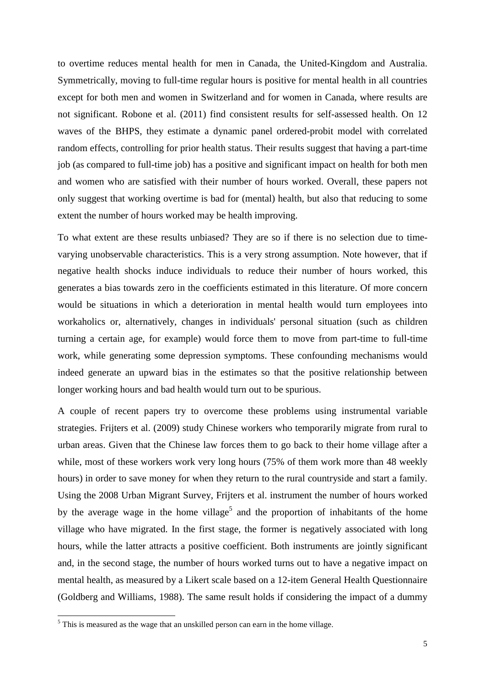to overtime reduces mental health for men in Canada, the United-Kingdom and Australia. Symmetrically, moving to full-time regular hours is positive for mental health in all countries except for both men and women in Switzerland and for women in Canada, where results are not significant. Robone et al. (2011) find consistent results for self-assessed health. On 12 waves of the BHPS, they estimate a dynamic panel ordered-probit model with correlated random effects, controlling for prior health status. Their results suggest that having a part-time job (as compared to full-time job) has a positive and significant impact on health for both men and women who are satisfied with their number of hours worked. Overall, these papers not only suggest that working overtime is bad for (mental) health, but also that reducing to some extent the number of hours worked may be health improving.

To what extent are these results unbiased? They are so if there is no selection due to timevarying unobservable characteristics. This is a very strong assumption. Note however, that if negative health shocks induce individuals to reduce their number of hours worked, this generates a bias towards zero in the coefficients estimated in this literature. Of more concern would be situations in which a deterioration in mental health would turn employees into workaholics or, alternatively, changes in individuals' personal situation (such as children turning a certain age, for example) would force them to move from part-time to full-time work, while generating some depression symptoms. These confounding mechanisms would indeed generate an upward bias in the estimates so that the positive relationship between longer working hours and bad health would turn out to be spurious.

A couple of recent papers try to overcome these problems using instrumental variable strategies. Frijters et al. (2009) study Chinese workers who temporarily migrate from rural to urban areas. Given that the Chinese law forces them to go back to their home village after a while, most of these workers work very long hours (75% of them work more than 48 weekly hours) in order to save money for when they return to the rural countryside and start a family. Using the 2008 Urban Migrant Survey, Frijters et al. instrument the number of hours worked by the average wage in the home village<sup>5</sup> and the proportion of inhabitants of the home village who have migrated. In the first stage, the former is negatively associated with long hours, while the latter attracts a positive coefficient. Both instruments are jointly significant and, in the second stage, the number of hours worked turns out to have a negative impact on mental health, as measured by a Likert scale based on a 12-item General Health Questionnaire (Goldberg and Williams, 1988). The same result holds if considering the impact of a dummy

<sup>&</sup>lt;sup>5</sup> This is measured as the wage that an unskilled person can earn in the home village.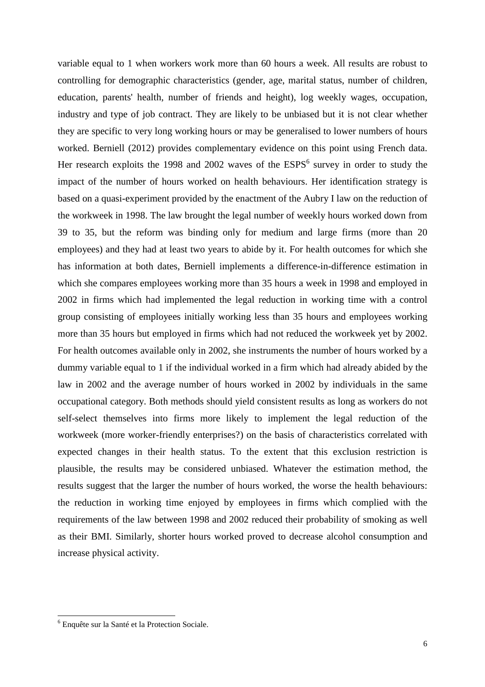variable equal to 1 when workers work more than 60 hours a week. All results are robust to controlling for demographic characteristics (gender, age, marital status, number of children, education, parents' health, number of friends and height), log weekly wages, occupation, industry and type of job contract. They are likely to be unbiased but it is not clear whether they are specific to very long working hours or may be generalised to lower numbers of hours worked. Berniell (2012) provides complementary evidence on this point using French data. Her research exploits the 1998 and 2002 waves of the  $ESPS<sup>6</sup>$  survey in order to study the impact of the number of hours worked on health behaviours. Her identification strategy is based on a quasi-experiment provided by the enactment of the Aubry I law on the reduction of the workweek in 1998. The law brought the legal number of weekly hours worked down from 39 to 35, but the reform was binding only for medium and large firms (more than 20 employees) and they had at least two years to abide by it. For health outcomes for which she has information at both dates, Berniell implements a difference-in-difference estimation in which she compares employees working more than 35 hours a week in 1998 and employed in 2002 in firms which had implemented the legal reduction in working time with a control group consisting of employees initially working less than 35 hours and employees working more than 35 hours but employed in firms which had not reduced the workweek yet by 2002. For health outcomes available only in 2002, she instruments the number of hours worked by a dummy variable equal to 1 if the individual worked in a firm which had already abided by the law in 2002 and the average number of hours worked in 2002 by individuals in the same occupational category. Both methods should yield consistent results as long as workers do not self-select themselves into firms more likely to implement the legal reduction of the workweek (more worker-friendly enterprises?) on the basis of characteristics correlated with expected changes in their health status. To the extent that this exclusion restriction is plausible, the results may be considered unbiased. Whatever the estimation method, the results suggest that the larger the number of hours worked, the worse the health behaviours: the reduction in working time enjoyed by employees in firms which complied with the requirements of the law between 1998 and 2002 reduced their probability of smoking as well as their BMI. Similarly, shorter hours worked proved to decrease alcohol consumption and increase physical activity.

 6 Enquête sur la Santé et la Protection Sociale.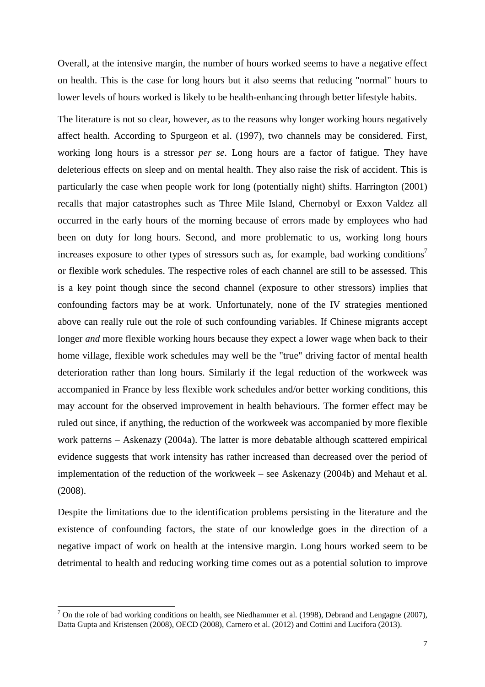Overall, at the intensive margin, the number of hours worked seems to have a negative effect on health. This is the case for long hours but it also seems that reducing "normal" hours to lower levels of hours worked is likely to be health-enhancing through better lifestyle habits.

The literature is not so clear, however, as to the reasons why longer working hours negatively affect health. According to Spurgeon et al. (1997), two channels may be considered. First, working long hours is a stressor *per se*. Long hours are a factor of fatigue. They have deleterious effects on sleep and on mental health. They also raise the risk of accident. This is particularly the case when people work for long (potentially night) shifts. Harrington (2001) recalls that major catastrophes such as Three Mile Island, Chernobyl or Exxon Valdez all occurred in the early hours of the morning because of errors made by employees who had been on duty for long hours. Second, and more problematic to us, working long hours increases exposure to other types of stressors such as, for example, bad working conditions<sup>7</sup> or flexible work schedules. The respective roles of each channel are still to be assessed. This is a key point though since the second channel (exposure to other stressors) implies that confounding factors may be at work. Unfortunately, none of the IV strategies mentioned above can really rule out the role of such confounding variables. If Chinese migrants accept longer *and* more flexible working hours because they expect a lower wage when back to their home village, flexible work schedules may well be the "true" driving factor of mental health deterioration rather than long hours. Similarly if the legal reduction of the workweek was accompanied in France by less flexible work schedules and/or better working conditions, this may account for the observed improvement in health behaviours. The former effect may be ruled out since, if anything, the reduction of the workweek was accompanied by more flexible work patterns – Askenazy (2004a). The latter is more debatable although scattered empirical evidence suggests that work intensity has rather increased than decreased over the period of implementation of the reduction of the workweek – see Askenazy (2004b) and Mehaut et al. (2008).

Despite the limitations due to the identification problems persisting in the literature and the existence of confounding factors, the state of our knowledge goes in the direction of a negative impact of work on health at the intensive margin. Long hours worked seem to be detrimental to health and reducing working time comes out as a potential solution to improve

l

 $<sup>7</sup>$  On the role of bad working conditions on health, see Niedhammer et al. (1998), Debrand and Lengagne (2007),</sup> Datta Gupta and Kristensen (2008), OECD (2008), Carnero et al. (2012) and Cottini and Lucifora (2013).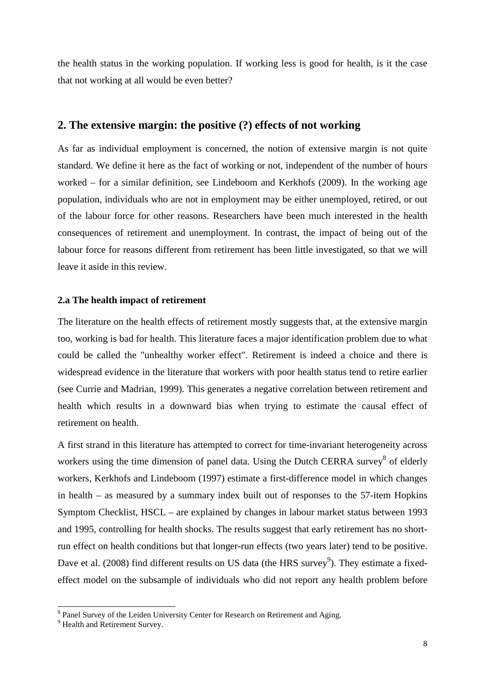the health status in the working population. If working less is good for health, is it the case that not working at all would be even better?

## **2. The extensive margin: the positive (?) effects of not working**

As far as individual employment is concerned, the notion of extensive margin is not quite standard. We define it here as the fact of working or not, independent of the number of hours worked – for a similar definition, see Lindeboom and Kerkhofs (2009). In the working age population, individuals who are not in employment may be either unemployed, retired, or out of the labour force for other reasons. Researchers have been much interested in the health consequences of retirement and unemployment. In contrast, the impact of being out of the labour force for reasons different from retirement has been little investigated, so that we will leave it aside in this review.

#### **2.a The health impact of retirement**

The literature on the health effects of retirement mostly suggests that, at the extensive margin too, working is bad for health. This literature faces a major identification problem due to what could be called the "unhealthy worker effect". Retirement is indeed a choice and there is widespread evidence in the literature that workers with poor health status tend to retire earlier (see Currie and Madrian, 1999). This generates a negative correlation between retirement and health which results in a downward bias when trying to estimate the causal effect of retirement on health.

A first strand in this literature has attempted to correct for time-invariant heterogeneity across workers using the time dimension of panel data. Using the Dutch CERRA survey<sup>8</sup> of elderly workers, Kerkhofs and Lindeboom (1997) estimate a first-difference model in which changes in health – as measured by a summary index built out of responses to the 57-item Hopkins Symptom Checklist, HSCL – are explained by changes in labour market status between 1993 and 1995, controlling for health shocks. The results suggest that early retirement has no shortrun effect on health conditions but that longer-run effects (two years later) tend to be positive. Dave et al. (2008) find different results on US data (the HRS survey<sup>9</sup>). They estimate a fixedeffect model on the subsample of individuals who did not report any health problem before

<sup>&</sup>lt;sup>8</sup> Panel Survey of the Leiden University Center for Research on Retirement and Aging.

<sup>&</sup>lt;sup>9</sup> Health and Retirement Survey.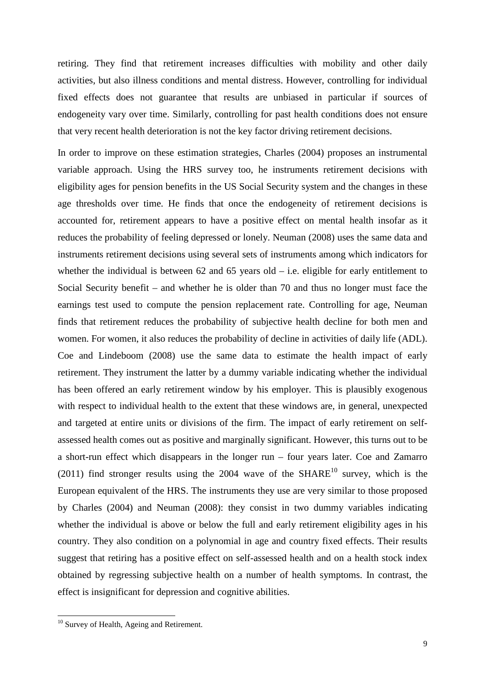retiring. They find that retirement increases difficulties with mobility and other daily activities, but also illness conditions and mental distress. However, controlling for individual fixed effects does not guarantee that results are unbiased in particular if sources of endogeneity vary over time. Similarly, controlling for past health conditions does not ensure that very recent health deterioration is not the key factor driving retirement decisions.

In order to improve on these estimation strategies, Charles (2004) proposes an instrumental variable approach. Using the HRS survey too, he instruments retirement decisions with eligibility ages for pension benefits in the US Social Security system and the changes in these age thresholds over time. He finds that once the endogeneity of retirement decisions is accounted for, retirement appears to have a positive effect on mental health insofar as it reduces the probability of feeling depressed or lonely. Neuman (2008) uses the same data and instruments retirement decisions using several sets of instruments among which indicators for whether the individual is between  $62$  and  $65$  years old – i.e. eligible for early entitlement to Social Security benefit – and whether he is older than 70 and thus no longer must face the earnings test used to compute the pension replacement rate. Controlling for age, Neuman finds that retirement reduces the probability of subjective health decline for both men and women. For women, it also reduces the probability of decline in activities of daily life (ADL). Coe and Lindeboom (2008) use the same data to estimate the health impact of early retirement. They instrument the latter by a dummy variable indicating whether the individual has been offered an early retirement window by his employer. This is plausibly exogenous with respect to individual health to the extent that these windows are, in general, unexpected and targeted at entire units or divisions of the firm. The impact of early retirement on selfassessed health comes out as positive and marginally significant. However, this turns out to be a short-run effect which disappears in the longer run – four years later. Coe and Zamarro (2011) find stronger results using the  $2004$  wave of the SHARE<sup>10</sup> survey, which is the European equivalent of the HRS. The instruments they use are very similar to those proposed by Charles (2004) and Neuman (2008): they consist in two dummy variables indicating whether the individual is above or below the full and early retirement eligibility ages in his country. They also condition on a polynomial in age and country fixed effects. Their results suggest that retiring has a positive effect on self-assessed health and on a health stock index obtained by regressing subjective health on a number of health symptoms. In contrast, the effect is insignificant for depression and cognitive abilities.

-

<sup>&</sup>lt;sup>10</sup> Survey of Health, Ageing and Retirement.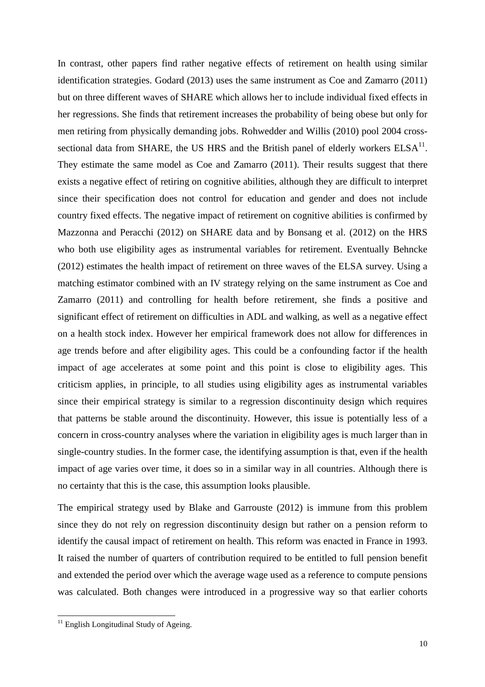In contrast, other papers find rather negative effects of retirement on health using similar identification strategies. Godard (2013) uses the same instrument as Coe and Zamarro (2011) but on three different waves of SHARE which allows her to include individual fixed effects in her regressions. She finds that retirement increases the probability of being obese but only for men retiring from physically demanding jobs. Rohwedder and Willis (2010) pool 2004 crosssectional data from SHARE, the US HRS and the British panel of elderly workers  $ELSA<sup>11</sup>$ . They estimate the same model as Coe and Zamarro (2011). Their results suggest that there exists a negative effect of retiring on cognitive abilities, although they are difficult to interpret since their specification does not control for education and gender and does not include country fixed effects. The negative impact of retirement on cognitive abilities is confirmed by Mazzonna and Peracchi (2012) on SHARE data and by Bonsang et al. (2012) on the HRS who both use eligibility ages as instrumental variables for retirement. Eventually Behncke (2012) estimates the health impact of retirement on three waves of the ELSA survey. Using a matching estimator combined with an IV strategy relying on the same instrument as Coe and Zamarro (2011) and controlling for health before retirement, she finds a positive and significant effect of retirement on difficulties in ADL and walking, as well as a negative effect on a health stock index. However her empirical framework does not allow for differences in age trends before and after eligibility ages. This could be a confounding factor if the health impact of age accelerates at some point and this point is close to eligibility ages. This criticism applies, in principle, to all studies using eligibility ages as instrumental variables since their empirical strategy is similar to a regression discontinuity design which requires that patterns be stable around the discontinuity. However, this issue is potentially less of a concern in cross-country analyses where the variation in eligibility ages is much larger than in single-country studies. In the former case, the identifying assumption is that, even if the health impact of age varies over time, it does so in a similar way in all countries. Although there is no certainty that this is the case, this assumption looks plausible.

The empirical strategy used by Blake and Garrouste (2012) is immune from this problem since they do not rely on regression discontinuity design but rather on a pension reform to identify the causal impact of retirement on health. This reform was enacted in France in 1993. It raised the number of quarters of contribution required to be entitled to full pension benefit and extended the period over which the average wage used as a reference to compute pensions was calculated. Both changes were introduced in a progressive way so that earlier cohorts

-

<sup>&</sup>lt;sup>11</sup> English Longitudinal Study of Ageing.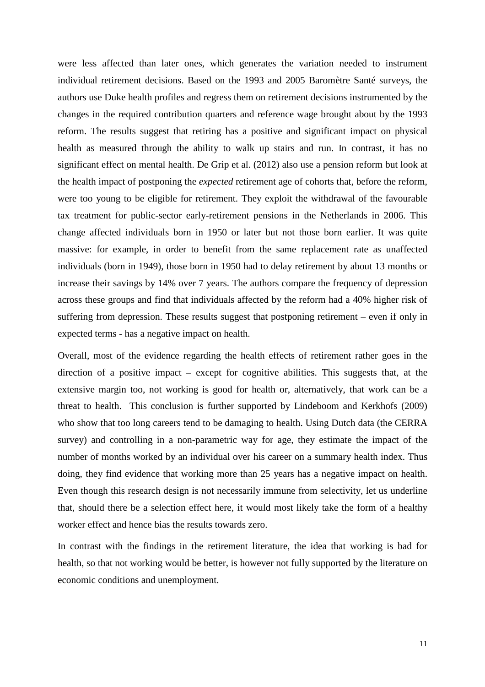were less affected than later ones, which generates the variation needed to instrument individual retirement decisions. Based on the 1993 and 2005 Baromètre Santé surveys, the authors use Duke health profiles and regress them on retirement decisions instrumented by the changes in the required contribution quarters and reference wage brought about by the 1993 reform. The results suggest that retiring has a positive and significant impact on physical health as measured through the ability to walk up stairs and run. In contrast, it has no significant effect on mental health. De Grip et al. (2012) also use a pension reform but look at the health impact of postponing the *expected* retirement age of cohorts that, before the reform, were too young to be eligible for retirement. They exploit the withdrawal of the favourable tax treatment for public-sector early-retirement pensions in the Netherlands in 2006. This change affected individuals born in 1950 or later but not those born earlier. It was quite massive: for example, in order to benefit from the same replacement rate as unaffected individuals (born in 1949), those born in 1950 had to delay retirement by about 13 months or increase their savings by 14% over 7 years. The authors compare the frequency of depression across these groups and find that individuals affected by the reform had a 40% higher risk of suffering from depression. These results suggest that postponing retirement – even if only in expected terms - has a negative impact on health.

Overall, most of the evidence regarding the health effects of retirement rather goes in the direction of a positive impact – except for cognitive abilities. This suggests that, at the extensive margin too, not working is good for health or, alternatively, that work can be a threat to health. This conclusion is further supported by Lindeboom and Kerkhofs (2009) who show that too long careers tend to be damaging to health. Using Dutch data (the CERRA survey) and controlling in a non-parametric way for age, they estimate the impact of the number of months worked by an individual over his career on a summary health index. Thus doing, they find evidence that working more than 25 years has a negative impact on health. Even though this research design is not necessarily immune from selectivity, let us underline that, should there be a selection effect here, it would most likely take the form of a healthy worker effect and hence bias the results towards zero.

In contrast with the findings in the retirement literature, the idea that working is bad for health, so that not working would be better, is however not fully supported by the literature on economic conditions and unemployment.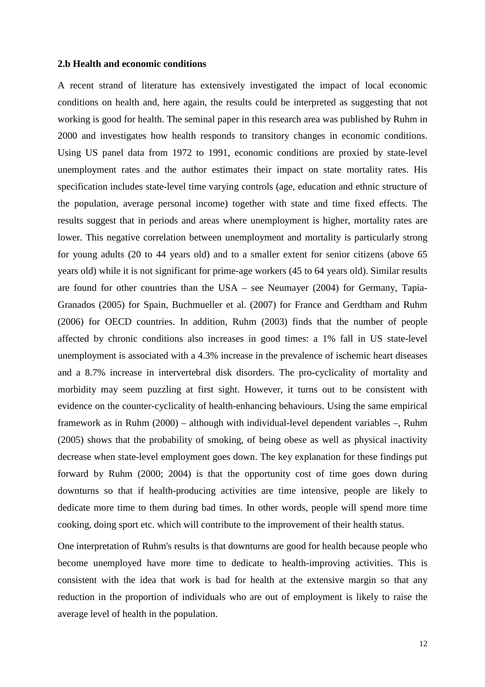#### **2.b Health and economic conditions**

A recent strand of literature has extensively investigated the impact of local economic conditions on health and, here again, the results could be interpreted as suggesting that not working is good for health. The seminal paper in this research area was published by Ruhm in 2000 and investigates how health responds to transitory changes in economic conditions. Using US panel data from 1972 to 1991, economic conditions are proxied by state-level unemployment rates and the author estimates their impact on state mortality rates. His specification includes state-level time varying controls (age, education and ethnic structure of the population, average personal income) together with state and time fixed effects. The results suggest that in periods and areas where unemployment is higher, mortality rates are lower. This negative correlation between unemployment and mortality is particularly strong for young adults (20 to 44 years old) and to a smaller extent for senior citizens (above 65 years old) while it is not significant for prime-age workers (45 to 64 years old). Similar results are found for other countries than the USA – see Neumayer (2004) for Germany, Tapia-Granados (2005) for Spain, Buchmueller et al. (2007) for France and Gerdtham and Ruhm (2006) for OECD countries. In addition, Ruhm (2003) finds that the number of people affected by chronic conditions also increases in good times: a 1% fall in US state-level unemployment is associated with a 4.3% increase in the prevalence of ischemic heart diseases and a 8.7% increase in intervertebral disk disorders. The pro-cyclicality of mortality and morbidity may seem puzzling at first sight. However, it turns out to be consistent with evidence on the counter-cyclicality of health-enhancing behaviours. Using the same empirical framework as in Ruhm (2000) – although with individual-level dependent variables –, Ruhm (2005) shows that the probability of smoking, of being obese as well as physical inactivity decrease when state-level employment goes down. The key explanation for these findings put forward by Ruhm (2000; 2004) is that the opportunity cost of time goes down during downturns so that if health-producing activities are time intensive, people are likely to dedicate more time to them during bad times. In other words, people will spend more time cooking, doing sport etc. which will contribute to the improvement of their health status.

One interpretation of Ruhm's results is that downturns are good for health because people who become unemployed have more time to dedicate to health-improving activities. This is consistent with the idea that work is bad for health at the extensive margin so that any reduction in the proportion of individuals who are out of employment is likely to raise the average level of health in the population.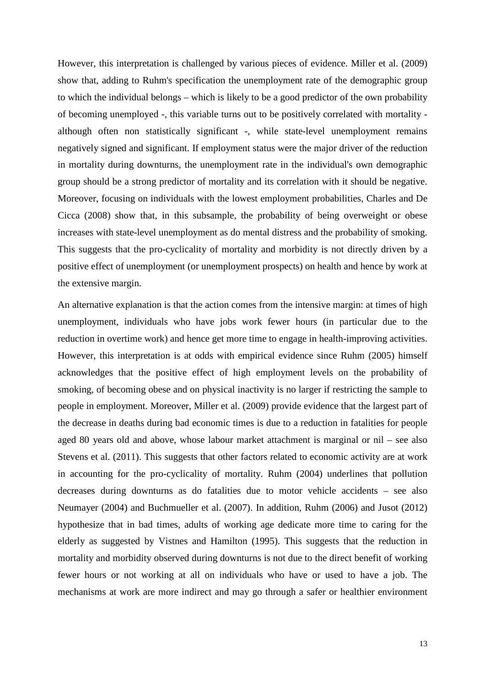However, this interpretation is challenged by various pieces of evidence. Miller et al. (2009) show that, adding to Ruhm's specification the unemployment rate of the demographic group to which the individual belongs – which is likely to be a good predictor of the own probability of becoming unemployed -, this variable turns out to be positively correlated with mortality although often non statistically significant -, while state-level unemployment remains negatively signed and significant. If employment status were the major driver of the reduction in mortality during downturns, the unemployment rate in the individual's own demographic group should be a strong predictor of mortality and its correlation with it should be negative. Moreover, focusing on individuals with the lowest employment probabilities, Charles and De Cicca (2008) show that, in this subsample, the probability of being overweight or obese increases with state-level unemployment as do mental distress and the probability of smoking. This suggests that the pro-cyclicality of mortality and morbidity is not directly driven by a positive effect of unemployment (or unemployment prospects) on health and hence by work at the extensive margin.

An alternative explanation is that the action comes from the intensive margin: at times of high unemployment, individuals who have jobs work fewer hours (in particular due to the reduction in overtime work) and hence get more time to engage in health-improving activities. However, this interpretation is at odds with empirical evidence since Ruhm (2005) himself acknowledges that the positive effect of high employment levels on the probability of smoking, of becoming obese and on physical inactivity is no larger if restricting the sample to people in employment. Moreover, Miller et al. (2009) provide evidence that the largest part of the decrease in deaths during bad economic times is due to a reduction in fatalities for people aged 80 years old and above, whose labour market attachment is marginal or nil – see also Stevens et al. (2011). This suggests that other factors related to economic activity are at work in accounting for the pro-cyclicality of mortality. Ruhm (2004) underlines that pollution decreases during downturns as do fatalities due to motor vehicle accidents – see also Neumayer (2004) and Buchmueller et al. (2007). In addition, Ruhm (2006) and Jusot (2012) hypothesize that in bad times, adults of working age dedicate more time to caring for the elderly as suggested by Vistnes and Hamilton (1995). This suggests that the reduction in mortality and morbidity observed during downturns is not due to the direct benefit of working fewer hours or not working at all on individuals who have or used to have a job. The mechanisms at work are more indirect and may go through a safer or healthier environment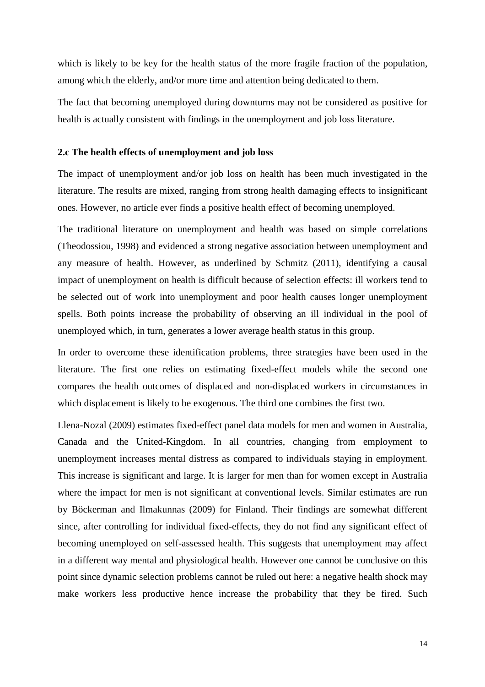which is likely to be key for the health status of the more fragile fraction of the population, among which the elderly, and/or more time and attention being dedicated to them.

The fact that becoming unemployed during downturns may not be considered as positive for health is actually consistent with findings in the unemployment and job loss literature.

#### **2.c The health effects of unemployment and job loss**

The impact of unemployment and/or job loss on health has been much investigated in the literature. The results are mixed, ranging from strong health damaging effects to insignificant ones. However, no article ever finds a positive health effect of becoming unemployed.

The traditional literature on unemployment and health was based on simple correlations (Theodossiou, 1998) and evidenced a strong negative association between unemployment and any measure of health. However, as underlined by Schmitz (2011), identifying a causal impact of unemployment on health is difficult because of selection effects: ill workers tend to be selected out of work into unemployment and poor health causes longer unemployment spells. Both points increase the probability of observing an ill individual in the pool of unemployed which, in turn, generates a lower average health status in this group.

In order to overcome these identification problems, three strategies have been used in the literature. The first one relies on estimating fixed-effect models while the second one compares the health outcomes of displaced and non-displaced workers in circumstances in which displacement is likely to be exogenous. The third one combines the first two.

Llena-Nozal (2009) estimates fixed-effect panel data models for men and women in Australia, Canada and the United-Kingdom. In all countries, changing from employment to unemployment increases mental distress as compared to individuals staying in employment. This increase is significant and large. It is larger for men than for women except in Australia where the impact for men is not significant at conventional levels. Similar estimates are run by Böckerman and Ilmakunnas (2009) for Finland. Their findings are somewhat different since, after controlling for individual fixed-effects, they do not find any significant effect of becoming unemployed on self-assessed health. This suggests that unemployment may affect in a different way mental and physiological health. However one cannot be conclusive on this point since dynamic selection problems cannot be ruled out here: a negative health shock may make workers less productive hence increase the probability that they be fired. Such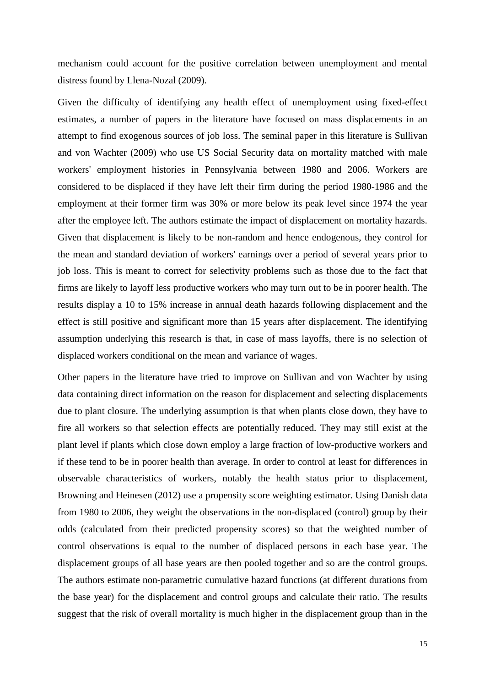mechanism could account for the positive correlation between unemployment and mental distress found by Llena-Nozal (2009).

Given the difficulty of identifying any health effect of unemployment using fixed-effect estimates, a number of papers in the literature have focused on mass displacements in an attempt to find exogenous sources of job loss. The seminal paper in this literature is Sullivan and von Wachter (2009) who use US Social Security data on mortality matched with male workers' employment histories in Pennsylvania between 1980 and 2006. Workers are considered to be displaced if they have left their firm during the period 1980-1986 and the employment at their former firm was 30% or more below its peak level since 1974 the year after the employee left. The authors estimate the impact of displacement on mortality hazards. Given that displacement is likely to be non-random and hence endogenous, they control for the mean and standard deviation of workers' earnings over a period of several years prior to job loss. This is meant to correct for selectivity problems such as those due to the fact that firms are likely to layoff less productive workers who may turn out to be in poorer health. The results display a 10 to 15% increase in annual death hazards following displacement and the effect is still positive and significant more than 15 years after displacement. The identifying assumption underlying this research is that, in case of mass layoffs, there is no selection of displaced workers conditional on the mean and variance of wages.

Other papers in the literature have tried to improve on Sullivan and von Wachter by using data containing direct information on the reason for displacement and selecting displacements due to plant closure. The underlying assumption is that when plants close down, they have to fire all workers so that selection effects are potentially reduced. They may still exist at the plant level if plants which close down employ a large fraction of low-productive workers and if these tend to be in poorer health than average. In order to control at least for differences in observable characteristics of workers, notably the health status prior to displacement, Browning and Heinesen (2012) use a propensity score weighting estimator. Using Danish data from 1980 to 2006, they weight the observations in the non-displaced (control) group by their odds (calculated from their predicted propensity scores) so that the weighted number of control observations is equal to the number of displaced persons in each base year. The displacement groups of all base years are then pooled together and so are the control groups. The authors estimate non-parametric cumulative hazard functions (at different durations from the base year) for the displacement and control groups and calculate their ratio. The results suggest that the risk of overall mortality is much higher in the displacement group than in the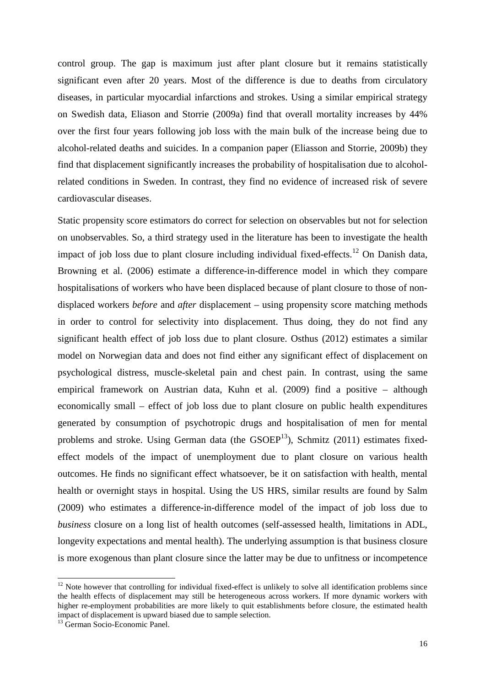control group. The gap is maximum just after plant closure but it remains statistically significant even after 20 years. Most of the difference is due to deaths from circulatory diseases, in particular myocardial infarctions and strokes. Using a similar empirical strategy on Swedish data, Eliason and Storrie (2009a) find that overall mortality increases by 44% over the first four years following job loss with the main bulk of the increase being due to alcohol-related deaths and suicides. In a companion paper (Eliasson and Storrie, 2009b) they find that displacement significantly increases the probability of hospitalisation due to alcoholrelated conditions in Sweden. In contrast, they find no evidence of increased risk of severe cardiovascular diseases.

Static propensity score estimators do correct for selection on observables but not for selection on unobservables. So, a third strategy used in the literature has been to investigate the health impact of job loss due to plant closure including individual fixed-effects.<sup>12</sup> On Danish data, Browning et al. (2006) estimate a difference-in-difference model in which they compare hospitalisations of workers who have been displaced because of plant closure to those of nondisplaced workers *before* and *after* displacement – using propensity score matching methods in order to control for selectivity into displacement. Thus doing, they do not find any significant health effect of job loss due to plant closure. Osthus (2012) estimates a similar model on Norwegian data and does not find either any significant effect of displacement on psychological distress, muscle-skeletal pain and chest pain. In contrast, using the same empirical framework on Austrian data, Kuhn et al. (2009) find a positive – although economically small – effect of job loss due to plant closure on public health expenditures generated by consumption of psychotropic drugs and hospitalisation of men for mental problems and stroke. Using German data (the  $GSOEP<sup>13</sup>$ ), Schmitz (2011) estimates fixedeffect models of the impact of unemployment due to plant closure on various health outcomes. He finds no significant effect whatsoever, be it on satisfaction with health, mental health or overnight stays in hospital. Using the US HRS, similar results are found by Salm (2009) who estimates a difference-in-difference model of the impact of job loss due to *business* closure on a long list of health outcomes (self-assessed health, limitations in ADL, longevity expectations and mental health). The underlying assumption is that business closure is more exogenous than plant closure since the latter may be due to unfitness or incompetence

-

 $12$  Note however that controlling for individual fixed-effect is unlikely to solve all identification problems since the health effects of displacement may still be heterogeneous across workers. If more dynamic workers with higher re-employment probabilities are more likely to quit establishments before closure, the estimated health impact of displacement is upward biased due to sample selection.

<sup>&</sup>lt;sup>13</sup> German Socio-Economic Panel.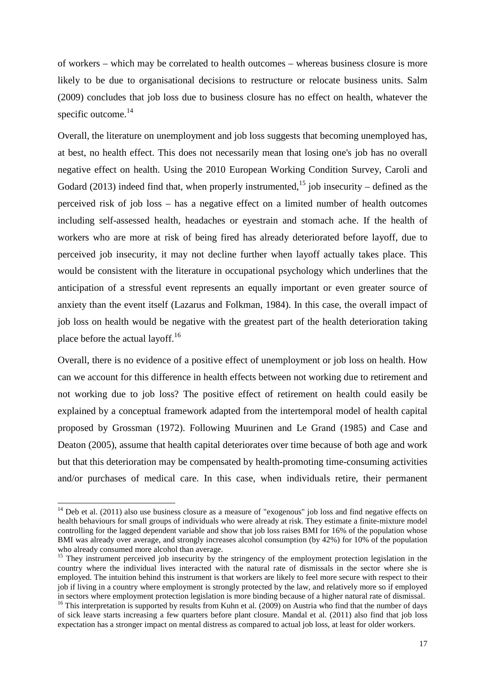of workers – which may be correlated to health outcomes – whereas business closure is more likely to be due to organisational decisions to restructure or relocate business units. Salm (2009) concludes that job loss due to business closure has no effect on health, whatever the specific outcome.<sup>14</sup>

Overall, the literature on unemployment and job loss suggests that becoming unemployed has, at best, no health effect. This does not necessarily mean that losing one's job has no overall negative effect on health. Using the 2010 European Working Condition Survey, Caroli and Godard (2013) indeed find that, when properly instrumented,<sup>15</sup> job insecurity – defined as the perceived risk of job loss – has a negative effect on a limited number of health outcomes including self-assessed health, headaches or eyestrain and stomach ache. If the health of workers who are more at risk of being fired has already deteriorated before layoff, due to perceived job insecurity, it may not decline further when layoff actually takes place. This would be consistent with the literature in occupational psychology which underlines that the anticipation of a stressful event represents an equally important or even greater source of anxiety than the event itself (Lazarus and Folkman, 1984). In this case, the overall impact of job loss on health would be negative with the greatest part of the health deterioration taking place before the actual layoff.<sup>16</sup>

Overall, there is no evidence of a positive effect of unemployment or job loss on health. How can we account for this difference in health effects between not working due to retirement and not working due to job loss? The positive effect of retirement on health could easily be explained by a conceptual framework adapted from the intertemporal model of health capital proposed by Grossman (1972). Following Muurinen and Le Grand (1985) and Case and Deaton (2005), assume that health capital deteriorates over time because of both age and work but that this deterioration may be compensated by health-promoting time-consuming activities and/or purchases of medical care. In this case, when individuals retire, their permanent

-

 $14$  Deb et al. (2011) also use business closure as a measure of "exogenous" job loss and find negative effects on health behaviours for small groups of individuals who were already at risk. They estimate a finite-mixture model controlling for the lagged dependent variable and show that job loss raises BMI for 16% of the population whose BMI was already over average, and strongly increases alcohol consumption (by 42%) for 10% of the population who already consumed more alcohol than average.

<sup>&</sup>lt;sup>15</sup> They instrument perceived job insecurity by the stringency of the employment protection legislation in the country where the individual lives interacted with the natural rate of dismissals in the sector where she is employed. The intuition behind this instrument is that workers are likely to feel more secure with respect to their job if living in a country where employment is strongly protected by the law, and relatively more so if employed in sectors where employment protection legislation is more binding because of a higher natural rate of dismissal.

<sup>&</sup>lt;sup>16</sup> This interpretation is supported by results from Kuhn et al. (2009) on Austria who find that the number of days of sick leave starts increasing a few quarters before plant closure. Mandal et al. (2011) also find that job loss expectation has a stronger impact on mental distress as compared to actual job loss, at least for older workers.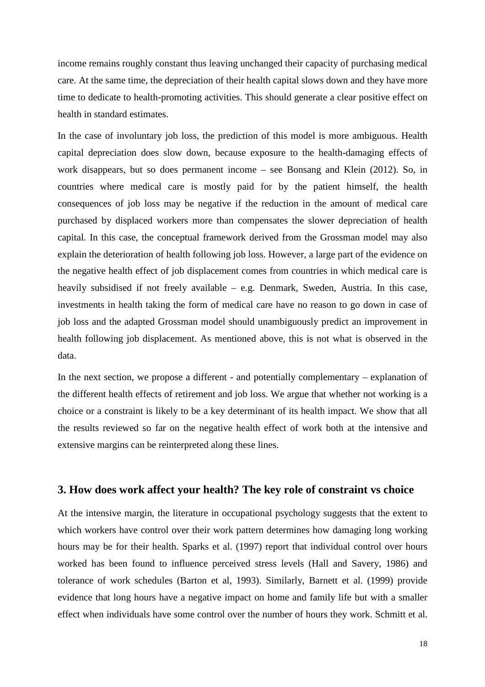income remains roughly constant thus leaving unchanged their capacity of purchasing medical care. At the same time, the depreciation of their health capital slows down and they have more time to dedicate to health-promoting activities. This should generate a clear positive effect on health in standard estimates.

In the case of involuntary job loss, the prediction of this model is more ambiguous. Health capital depreciation does slow down, because exposure to the health-damaging effects of work disappears, but so does permanent income – see Bonsang and Klein (2012). So, in countries where medical care is mostly paid for by the patient himself, the health consequences of job loss may be negative if the reduction in the amount of medical care purchased by displaced workers more than compensates the slower depreciation of health capital. In this case, the conceptual framework derived from the Grossman model may also explain the deterioration of health following job loss. However, a large part of the evidence on the negative health effect of job displacement comes from countries in which medical care is heavily subsidised if not freely available – e.g. Denmark, Sweden, Austria. In this case, investments in health taking the form of medical care have no reason to go down in case of job loss and the adapted Grossman model should unambiguously predict an improvement in health following job displacement. As mentioned above, this is not what is observed in the data.

In the next section, we propose a different - and potentially complementary – explanation of the different health effects of retirement and job loss. We argue that whether not working is a choice or a constraint is likely to be a key determinant of its health impact. We show that all the results reviewed so far on the negative health effect of work both at the intensive and extensive margins can be reinterpreted along these lines.

## **3. How does work affect your health? The key role of constraint vs choice**

At the intensive margin, the literature in occupational psychology suggests that the extent to which workers have control over their work pattern determines how damaging long working hours may be for their health. Sparks et al. (1997) report that individual control over hours worked has been found to influence perceived stress levels (Hall and Savery, 1986) and tolerance of work schedules (Barton et al, 1993). Similarly, Barnett et al. (1999) provide evidence that long hours have a negative impact on home and family life but with a smaller effect when individuals have some control over the number of hours they work. Schmitt et al.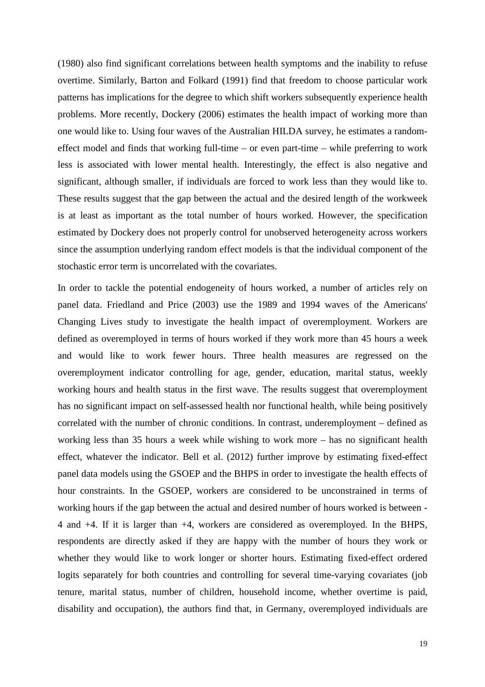(1980) also find significant correlations between health symptoms and the inability to refuse overtime. Similarly, Barton and Folkard (1991) find that freedom to choose particular work patterns has implications for the degree to which shift workers subsequently experience health problems. More recently, Dockery (2006) estimates the health impact of working more than one would like to. Using four waves of the Australian HILDA survey, he estimates a randomeffect model and finds that working full-time – or even part-time – while preferring to work less is associated with lower mental health. Interestingly, the effect is also negative and significant, although smaller, if individuals are forced to work less than they would like to. These results suggest that the gap between the actual and the desired length of the workweek is at least as important as the total number of hours worked. However, the specification estimated by Dockery does not properly control for unobserved heterogeneity across workers since the assumption underlying random effect models is that the individual component of the stochastic error term is uncorrelated with the covariates.

In order to tackle the potential endogeneity of hours worked, a number of articles rely on panel data. Friedland and Price (2003) use the 1989 and 1994 waves of the Americans' Changing Lives study to investigate the health impact of overemployment. Workers are defined as overemployed in terms of hours worked if they work more than 45 hours a week and would like to work fewer hours. Three health measures are regressed on the overemployment indicator controlling for age, gender, education, marital status, weekly working hours and health status in the first wave. The results suggest that overemployment has no significant impact on self-assessed health nor functional health, while being positively correlated with the number of chronic conditions. In contrast, underemployment – defined as working less than 35 hours a week while wishing to work more – has no significant health effect, whatever the indicator. Bell et al. (2012) further improve by estimating fixed-effect panel data models using the GSOEP and the BHPS in order to investigate the health effects of hour constraints. In the GSOEP, workers are considered to be unconstrained in terms of working hours if the gap between the actual and desired number of hours worked is between - 4 and +4. If it is larger than +4, workers are considered as overemployed. In the BHPS, respondents are directly asked if they are happy with the number of hours they work or whether they would like to work longer or shorter hours. Estimating fixed-effect ordered logits separately for both countries and controlling for several time-varying covariates (job tenure, marital status, number of children, household income, whether overtime is paid, disability and occupation), the authors find that, in Germany, overemployed individuals are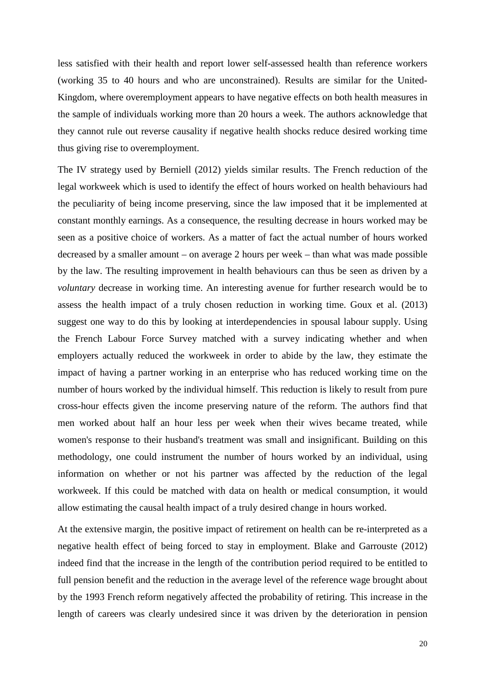less satisfied with their health and report lower self-assessed health than reference workers (working 35 to 40 hours and who are unconstrained). Results are similar for the United-Kingdom, where overemployment appears to have negative effects on both health measures in the sample of individuals working more than 20 hours a week. The authors acknowledge that they cannot rule out reverse causality if negative health shocks reduce desired working time thus giving rise to overemployment.

The IV strategy used by Berniell (2012) yields similar results. The French reduction of the legal workweek which is used to identify the effect of hours worked on health behaviours had the peculiarity of being income preserving, since the law imposed that it be implemented at constant monthly earnings. As a consequence, the resulting decrease in hours worked may be seen as a positive choice of workers. As a matter of fact the actual number of hours worked decreased by a smaller amount – on average 2 hours per week – than what was made possible by the law. The resulting improvement in health behaviours can thus be seen as driven by a *voluntary* decrease in working time. An interesting avenue for further research would be to assess the health impact of a truly chosen reduction in working time. Goux et al. (2013) suggest one way to do this by looking at interdependencies in spousal labour supply. Using the French Labour Force Survey matched with a survey indicating whether and when employers actually reduced the workweek in order to abide by the law, they estimate the impact of having a partner working in an enterprise who has reduced working time on the number of hours worked by the individual himself. This reduction is likely to result from pure cross-hour effects given the income preserving nature of the reform. The authors find that men worked about half an hour less per week when their wives became treated, while women's response to their husband's treatment was small and insignificant. Building on this methodology, one could instrument the number of hours worked by an individual, using information on whether or not his partner was affected by the reduction of the legal workweek. If this could be matched with data on health or medical consumption, it would allow estimating the causal health impact of a truly desired change in hours worked.

At the extensive margin, the positive impact of retirement on health can be re-interpreted as a negative health effect of being forced to stay in employment. Blake and Garrouste (2012) indeed find that the increase in the length of the contribution period required to be entitled to full pension benefit and the reduction in the average level of the reference wage brought about by the 1993 French reform negatively affected the probability of retiring. This increase in the length of careers was clearly undesired since it was driven by the deterioration in pension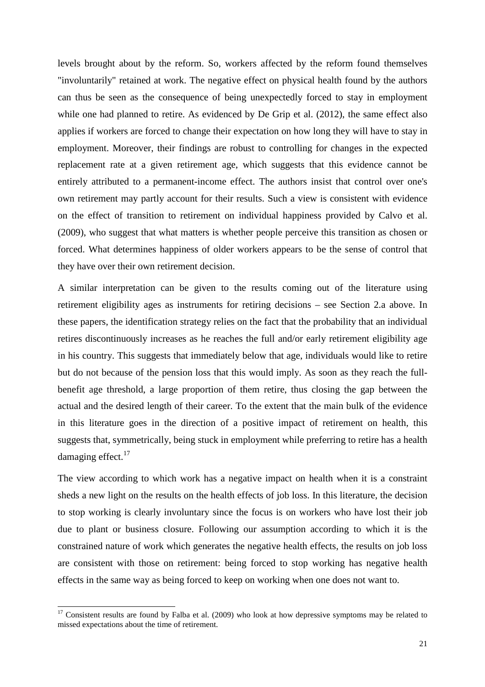levels brought about by the reform. So, workers affected by the reform found themselves "involuntarily" retained at work. The negative effect on physical health found by the authors can thus be seen as the consequence of being unexpectedly forced to stay in employment while one had planned to retire. As evidenced by De Grip et al. (2012), the same effect also applies if workers are forced to change their expectation on how long they will have to stay in employment. Moreover, their findings are robust to controlling for changes in the expected replacement rate at a given retirement age, which suggests that this evidence cannot be entirely attributed to a permanent-income effect. The authors insist that control over one's own retirement may partly account for their results. Such a view is consistent with evidence on the effect of transition to retirement on individual happiness provided by Calvo et al. (2009), who suggest that what matters is whether people perceive this transition as chosen or forced. What determines happiness of older workers appears to be the sense of control that they have over their own retirement decision.

A similar interpretation can be given to the results coming out of the literature using retirement eligibility ages as instruments for retiring decisions – see Section 2.a above. In these papers, the identification strategy relies on the fact that the probability that an individual retires discontinuously increases as he reaches the full and/or early retirement eligibility age in his country. This suggests that immediately below that age, individuals would like to retire but do not because of the pension loss that this would imply. As soon as they reach the fullbenefit age threshold, a large proportion of them retire, thus closing the gap between the actual and the desired length of their career. To the extent that the main bulk of the evidence in this literature goes in the direction of a positive impact of retirement on health, this suggests that, symmetrically, being stuck in employment while preferring to retire has a health damaging effect.<sup>17</sup>

The view according to which work has a negative impact on health when it is a constraint sheds a new light on the results on the health effects of job loss. In this literature, the decision to stop working is clearly involuntary since the focus is on workers who have lost their job due to plant or business closure. Following our assumption according to which it is the constrained nature of work which generates the negative health effects, the results on job loss are consistent with those on retirement: being forced to stop working has negative health effects in the same way as being forced to keep on working when one does not want to.

l

 $17$  Consistent results are found by Falba et al. (2009) who look at how depressive symptoms may be related to missed expectations about the time of retirement.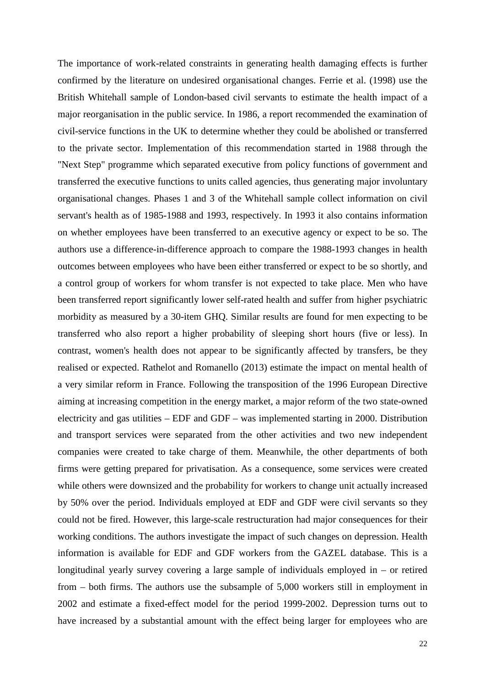The importance of work-related constraints in generating health damaging effects is further confirmed by the literature on undesired organisational changes. Ferrie et al. (1998) use the British Whitehall sample of London-based civil servants to estimate the health impact of a major reorganisation in the public service. In 1986, a report recommended the examination of civil-service functions in the UK to determine whether they could be abolished or transferred to the private sector. Implementation of this recommendation started in 1988 through the "Next Step" programme which separated executive from policy functions of government and transferred the executive functions to units called agencies, thus generating major involuntary organisational changes. Phases 1 and 3 of the Whitehall sample collect information on civil servant's health as of 1985-1988 and 1993, respectively. In 1993 it also contains information on whether employees have been transferred to an executive agency or expect to be so. The authors use a difference-in-difference approach to compare the 1988-1993 changes in health outcomes between employees who have been either transferred or expect to be so shortly, and a control group of workers for whom transfer is not expected to take place. Men who have been transferred report significantly lower self-rated health and suffer from higher psychiatric morbidity as measured by a 30-item GHQ. Similar results are found for men expecting to be transferred who also report a higher probability of sleeping short hours (five or less). In contrast, women's health does not appear to be significantly affected by transfers, be they realised or expected. Rathelot and Romanello (2013) estimate the impact on mental health of a very similar reform in France. Following the transposition of the 1996 European Directive aiming at increasing competition in the energy market, a major reform of the two state-owned electricity and gas utilities – EDF and GDF – was implemented starting in 2000. Distribution and transport services were separated from the other activities and two new independent companies were created to take charge of them. Meanwhile, the other departments of both firms were getting prepared for privatisation. As a consequence, some services were created while others were downsized and the probability for workers to change unit actually increased by 50% over the period. Individuals employed at EDF and GDF were civil servants so they could not be fired. However, this large-scale restructuration had major consequences for their working conditions. The authors investigate the impact of such changes on depression. Health information is available for EDF and GDF workers from the GAZEL database. This is a longitudinal yearly survey covering a large sample of individuals employed in – or retired from – both firms. The authors use the subsample of 5,000 workers still in employment in 2002 and estimate a fixed-effect model for the period 1999-2002. Depression turns out to have increased by a substantial amount with the effect being larger for employees who are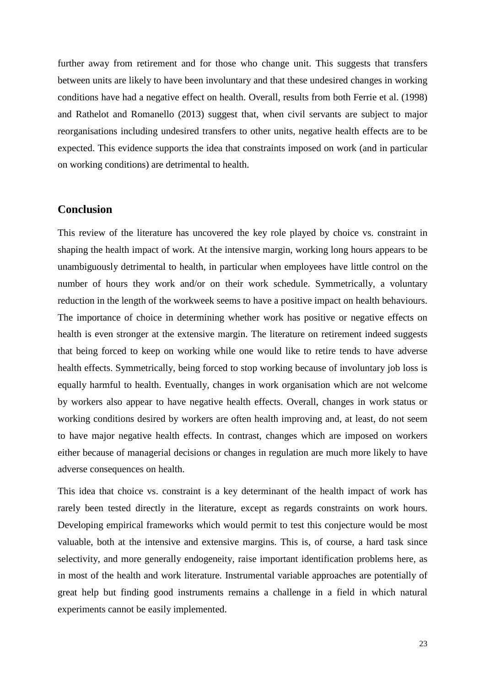further away from retirement and for those who change unit. This suggests that transfers between units are likely to have been involuntary and that these undesired changes in working conditions have had a negative effect on health. Overall, results from both Ferrie et al. (1998) and Rathelot and Romanello (2013) suggest that, when civil servants are subject to major reorganisations including undesired transfers to other units, negative health effects are to be expected. This evidence supports the idea that constraints imposed on work (and in particular on working conditions) are detrimental to health.

#### **Conclusion**

This review of the literature has uncovered the key role played by choice vs. constraint in shaping the health impact of work. At the intensive margin, working long hours appears to be unambiguously detrimental to health, in particular when employees have little control on the number of hours they work and/or on their work schedule. Symmetrically, a voluntary reduction in the length of the workweek seems to have a positive impact on health behaviours. The importance of choice in determining whether work has positive or negative effects on health is even stronger at the extensive margin. The literature on retirement indeed suggests that being forced to keep on working while one would like to retire tends to have adverse health effects. Symmetrically, being forced to stop working because of involuntary job loss is equally harmful to health. Eventually, changes in work organisation which are not welcome by workers also appear to have negative health effects. Overall, changes in work status or working conditions desired by workers are often health improving and, at least, do not seem to have major negative health effects. In contrast, changes which are imposed on workers either because of managerial decisions or changes in regulation are much more likely to have adverse consequences on health.

This idea that choice vs. constraint is a key determinant of the health impact of work has rarely been tested directly in the literature, except as regards constraints on work hours. Developing empirical frameworks which would permit to test this conjecture would be most valuable, both at the intensive and extensive margins. This is, of course, a hard task since selectivity, and more generally endogeneity, raise important identification problems here, as in most of the health and work literature. Instrumental variable approaches are potentially of great help but finding good instruments remains a challenge in a field in which natural experiments cannot be easily implemented.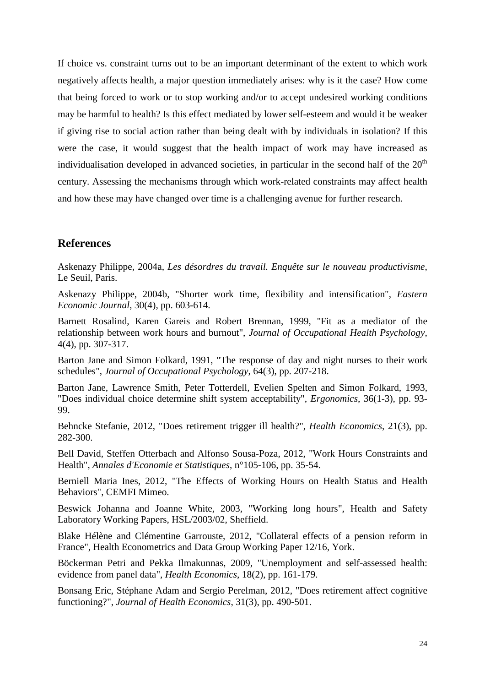If choice vs. constraint turns out to be an important determinant of the extent to which work negatively affects health, a major question immediately arises: why is it the case? How come that being forced to work or to stop working and/or to accept undesired working conditions may be harmful to health? Is this effect mediated by lower self-esteem and would it be weaker if giving rise to social action rather than being dealt with by individuals in isolation? If this were the case, it would suggest that the health impact of work may have increased as individualisation developed in advanced societies, in particular in the second half of the  $20<sup>th</sup>$ century. Assessing the mechanisms through which work-related constraints may affect health and how these may have changed over time is a challenging avenue for further research.

## **References**

Askenazy Philippe, 2004a, *Les désordres du travail. Enquête sur le nouveau productivisme*, Le Seuil, Paris.

Askenazy Philippe, 2004b, "Shorter work time, flexibility and intensification", *Eastern Economic Journal*, 30(4), pp. 603-614.

Barnett Rosalind, Karen Gareis and Robert Brennan, 1999, "Fit as a mediator of the relationship between work hours and burnout", *Journal of Occupational Health Psychology*, 4(4), pp. 307-317.

Barton Jane and Simon Folkard, 1991, "The response of day and night nurses to their work schedules", *Journal of Occupational Psychology*, 64(3), pp. 207-218.

Barton Jane, Lawrence Smith, Peter Totterdell, Evelien Spelten and Simon Folkard, 1993, "Does individual choice determine shift system acceptability", *Ergonomics*, 36(1-3), pp. 93- 99.

Behncke Stefanie, 2012, "Does retirement trigger ill health?", *Health Economics*, 21(3), pp. 282-300.

Bell David, Steffen Otterbach and Alfonso Sousa-Poza, 2012, "Work Hours Constraints and Health", *Annales d'Economie et Statistiques*, n°105-106, pp. 35-54.

Berniell Maria Ines, 2012, "The Effects of Working Hours on Health Status and Health Behaviors", CEMFI Mimeo.

Beswick Johanna and Joanne White, 2003, "Working long hours", Health and Safety Laboratory Working Papers, HSL/2003/02, Sheffield.

Blake Hélène and Clémentine Garrouste, 2012, "Collateral effects of a pension reform in France", Health Econometrics and Data Group Working Paper 12/16, York.

Böckerman Petri and Pekka Ilmakunnas, 2009, "Unemployment and self-assessed health: evidence from panel data", *Health Economics*, 18(2), pp. 161-179.

Bonsang Eric, Stéphane Adam and Sergio Perelman, 2012, "Does retirement affect cognitive functioning?", *Journal of Health Economics*, 31(3), pp. 490-501.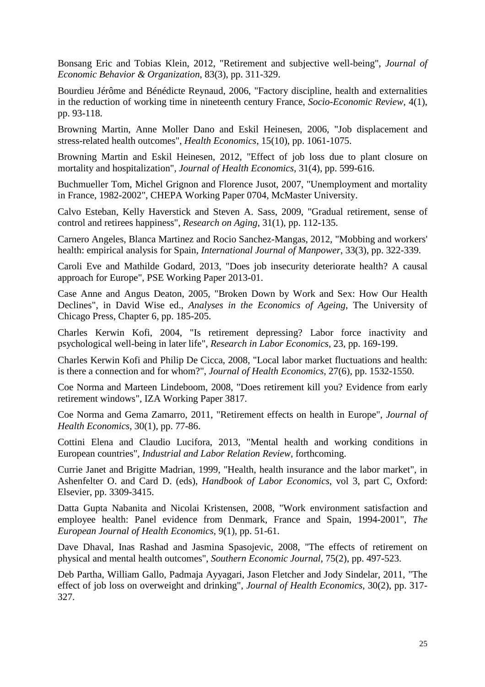Bonsang Eric and Tobias Klein, 2012, "Retirement and subjective well-being", *Journal of Economic Behavior & Organization*, 83(3), pp. 311-329.

Bourdieu Jérôme and Bénédicte Reynaud, 2006, "Factory discipline, health and externalities in the reduction of working time in nineteenth century France, *Socio-Economic Review*, 4(1), pp. 93-118.

Browning Martin, Anne Moller Dano and Eskil Heinesen, 2006, "Job displacement and stress-related health outcomes", *Health Economics*, 15(10), pp. 1061-1075.

Browning Martin and Eskil Heinesen, 2012, "Effect of job loss due to plant closure on mortality and hospitalization", *Journal of Health Economics*, 31(4), pp. 599-616.

Buchmueller Tom, Michel Grignon and Florence Jusot, 2007, "Unemployment and mortality in France, 1982-2002", CHEPA Working Paper 0704, McMaster University.

Calvo Esteban, Kelly Haverstick and Steven A. Sass, 2009, "Gradual retirement, sense of control and retirees happiness", *Research on Aging*, 31(1), pp. 112-135.

Carnero Angeles, Blanca Martinez and Rocio Sanchez-Mangas, 2012, "Mobbing and workers' health: empirical analysis for Spain, *International Journal of Manpower*, 33(3), pp. 322-339.

Caroli Eve and Mathilde Godard, 2013, "Does job insecurity deteriorate health? A causal approach for Europe", PSE Working Paper 2013-01.

Case Anne and Angus Deaton, 2005, "Broken Down by Work and Sex: How Our Health Declines", in David Wise ed., *Analyses in the Economics of Ageing*, The University of Chicago Press, Chapter 6, pp. 185-205.

Charles Kerwin Kofi, 2004, "Is retirement depressing? Labor force inactivity and psychological well-being in later life", *Research in Labor Economics*, 23, pp. 169-199.

Charles Kerwin Kofi and Philip De Cicca, 2008, "Local labor market fluctuations and health: is there a connection and for whom?", *Journal of Health Economics*, 27(6), pp. 1532-1550.

Coe Norma and Marteen Lindeboom, 2008, "Does retirement kill you? Evidence from early retirement windows", IZA Working Paper 3817.

Coe Norma and Gema Zamarro, 2011, "Retirement effects on health in Europe", *Journal of Health Economics*, 30(1), pp. 77-86.

Cottini Elena and Claudio Lucifora, 2013, "Mental health and working conditions in European countries", *Industrial and Labor Relation Review*, forthcoming.

Currie Janet and Brigitte Madrian, 1999, "Health, health insurance and the labor market", in Ashenfelter O. and Card D. (eds), *Handbook of Labor Economics*, vol 3, part C, Oxford: Elsevier, pp. 3309-3415.

Datta Gupta Nabanita and Nicolai Kristensen, 2008, "Work environment satisfaction and employee health: Panel evidence from Denmark, France and Spain, 1994-2001", *The European Journal of Health Economics*, 9(1), pp. 51-61.

Dave Dhaval, Inas Rashad and Jasmina Spasojevic, 2008, "The effects of retirement on physical and mental health outcomes", *Southern Economic Journal*, 75(2), pp. 497-523.

Deb Partha, William Gallo, Padmaja Ayyagari, Jason Fletcher and Jody Sindelar, 2011, "The effect of job loss on overweight and drinking", *Journal of Health Economics*, 30(2), pp. 317- 327.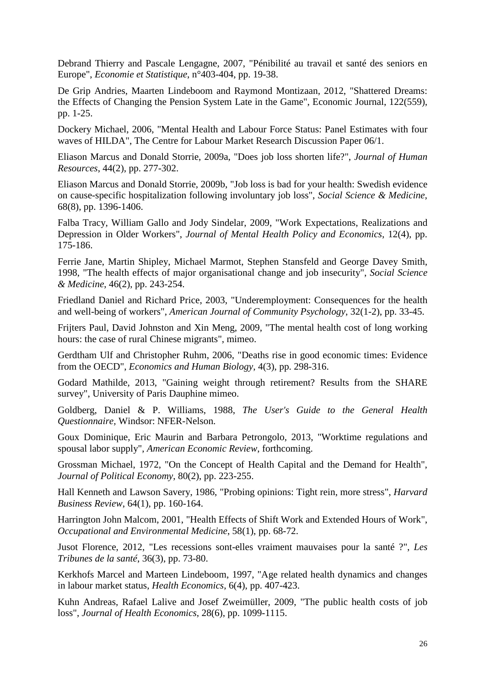Debrand Thierry and Pascale Lengagne, 2007, "Pénibilité au travail et santé des seniors en Europe", *Economie et Statistique*, n°403-404, pp. 19-38.

De Grip Andries, Maarten Lindeboom and Raymond Montizaan, 2012, "Shattered Dreams: the Effects of Changing the Pension System Late in the Game", Economic Journal, 122(559), pp. 1-25.

Dockery Michael, 2006, "Mental Health and Labour Force Status: Panel Estimates with four waves of HILDA", The Centre for Labour Market Research Discussion Paper 06/1.

Eliason Marcus and Donald Storrie, 2009a, "Does job loss shorten life?", *Journal of Human Resources*, 44(2), pp. 277-302.

Eliason Marcus and Donald Storrie, 2009b, "Job loss is bad for your health: Swedish evidence on cause-specific hospitalization following involuntary job loss", *Social Science & Medicine*, 68(8), pp. 1396-1406.

Falba Tracy, William Gallo and Jody Sindelar, 2009, "Work Expectations, Realizations and Depression in Older Workers", *Journal of Mental Health Policy and Economics*, 12(4), pp. 175-186.

Ferrie Jane, Martin Shipley, Michael Marmot, Stephen Stansfeld and George Davey Smith, 1998, "The health effects of major organisational change and job insecurity", *Social Science & Medicine*, 46(2), pp. 243-254.

Friedland Daniel and Richard Price, 2003, "Underemployment: Consequences for the health and well-being of workers", *American Journal of Community Psychology*, 32(1-2), pp. 33-45.

Frijters Paul, David Johnston and Xin Meng, 2009, "The mental health cost of long working hours: the case of rural Chinese migrants", mimeo.

Gerdtham Ulf and Christopher Ruhm, 2006, "Deaths rise in good economic times: Evidence from the OECD", *Economics and Human Biology*, 4(3), pp. 298-316.

Godard Mathilde, 2013, "Gaining weight through retirement? Results from the SHARE survey", University of Paris Dauphine mimeo.

Goldberg, Daniel & P. Williams, 1988, *The User's Guide to the General Health Questionnaire,* Windsor: NFER-Nelson.

Goux Dominique, Eric Maurin and Barbara Petrongolo, 2013, "Worktime regulations and spousal labor supply", *American Economic Review*, forthcoming.

Grossman Michael, 1972, "On the Concept of Health Capital and the Demand for Health", *Journal of Political Economy*, 80(2), pp. 223-255.

Hall Kenneth and Lawson Savery, 1986, "Probing opinions: Tight rein, more stress", *Harvard Business Review*, 64(1), pp. 160-164.

Harrington John Malcom, 2001, "Health Effects of Shift Work and Extended Hours of Work", *Occupational and Environmental Medicine*, 58(1), pp. 68-72.

Jusot Florence, 2012, "Les recessions sont-elles vraiment mauvaises pour la santé ?", *Les Tribunes de la santé*, 36(3), pp. 73-80.

Kerkhofs Marcel and Marteen Lindeboom, 1997, "Age related health dynamics and changes in labour market status, *Health Economics*, 6(4), pp. 407-423.

Kuhn Andreas, Rafael Lalive and Josef Zweimüller, 2009, "The public health costs of job loss", *Journal of Health Economics*, 28(6), pp. 1099-1115.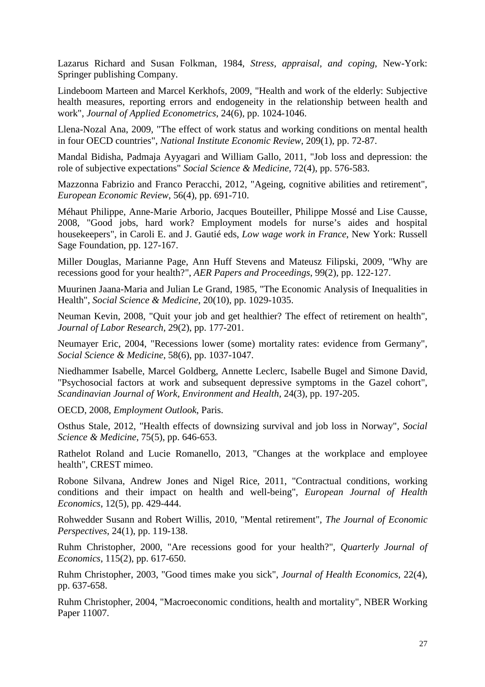Lazarus Richard and Susan Folkman, 1984, *Stress, appraisal, and coping*, New-York: Springer publishing Company.

Lindeboom Marteen and Marcel Kerkhofs, 2009, "Health and work of the elderly: Subjective health measures, reporting errors and endogeneity in the relationship between health and work", *Journal of Applied Econometrics*, 24(6), pp. 1024-1046.

Llena-Nozal Ana, 2009, "The effect of work status and working conditions on mental health in four OECD countries", *National Institute Economic Review*, 209(1), pp. 72-87.

Mandal Bidisha, Padmaja Ayyagari and William Gallo, 2011, "Job loss and depression: the role of subjective expectations" *Social Science & Medicine*, 72(4), pp. 576-583.

Mazzonna Fabrizio and Franco Peracchi, 2012, "Ageing, cognitive abilities and retirement", *European Economic Review*, 56(4), pp. 691-710.

Méhaut Philippe, Anne-Marie Arborio, Jacques Bouteiller, Philippe Mossé and Lise Causse, 2008, "Good jobs, hard work? Employment models for nurse's aides and hospital housekeepers", in Caroli E. and J. Gautié eds, *Low wage work in France*, New York: Russell Sage Foundation, pp. 127-167.

Miller Douglas, Marianne Page, Ann Huff Stevens and Mateusz Filipski, 2009, "Why are recessions good for your health?", *AER Papers and Proceedings*, 99(2), pp. 122-127.

Muurinen Jaana-Maria and Julian Le Grand, 1985, "The Economic Analysis of Inequalities in Health", *Social Science & Medicine*, 20(10), pp. 1029-1035.

Neuman Kevin, 2008, "Quit your job and get healthier? The effect of retirement on health", *Journal of Labor Research*, 29(2), pp. 177-201.

Neumayer Eric, 2004, "Recessions lower (some) mortality rates: evidence from Germany", *Social Science & Medicine*, 58(6), pp. 1037-1047.

Niedhammer Isabelle, Marcel Goldberg, Annette Leclerc, Isabelle Bugel and Simone David, "Psychosocial factors at work and subsequent depressive symptoms in the Gazel cohort", *Scandinavian Journal of Work, Environment and Health*, 24(3), pp. 197-205.

OECD, 2008, *Employment Outlook*, Paris.

Osthus Stale, 2012, "Health effects of downsizing survival and job loss in Norway", *Social Science & Medicine*, 75(5), pp. 646-653.

Rathelot Roland and Lucie Romanello, 2013, "Changes at the workplace and employee health", CREST mimeo.

Robone Silvana, Andrew Jones and Nigel Rice, 2011, "Contractual conditions, working conditions and their impact on health and well-being", *European Journal of Health Economics*, 12(5), pp. 429-444.

Rohwedder Susann and Robert Willis, 2010, "Mental retirement", *The Journal of Economic Perspectives*, 24(1), pp. 119-138.

Ruhm Christopher, 2000, "Are recessions good for your health?", *Quarterly Journal of Economics*, 115(2), pp. 617-650.

Ruhm Christopher, 2003, "Good times make you sick", *Journal of Health Economics*, 22(4), pp. 637-658.

Ruhm Christopher, 2004, "Macroeconomic conditions, health and mortality", NBER Working Paper 11007.